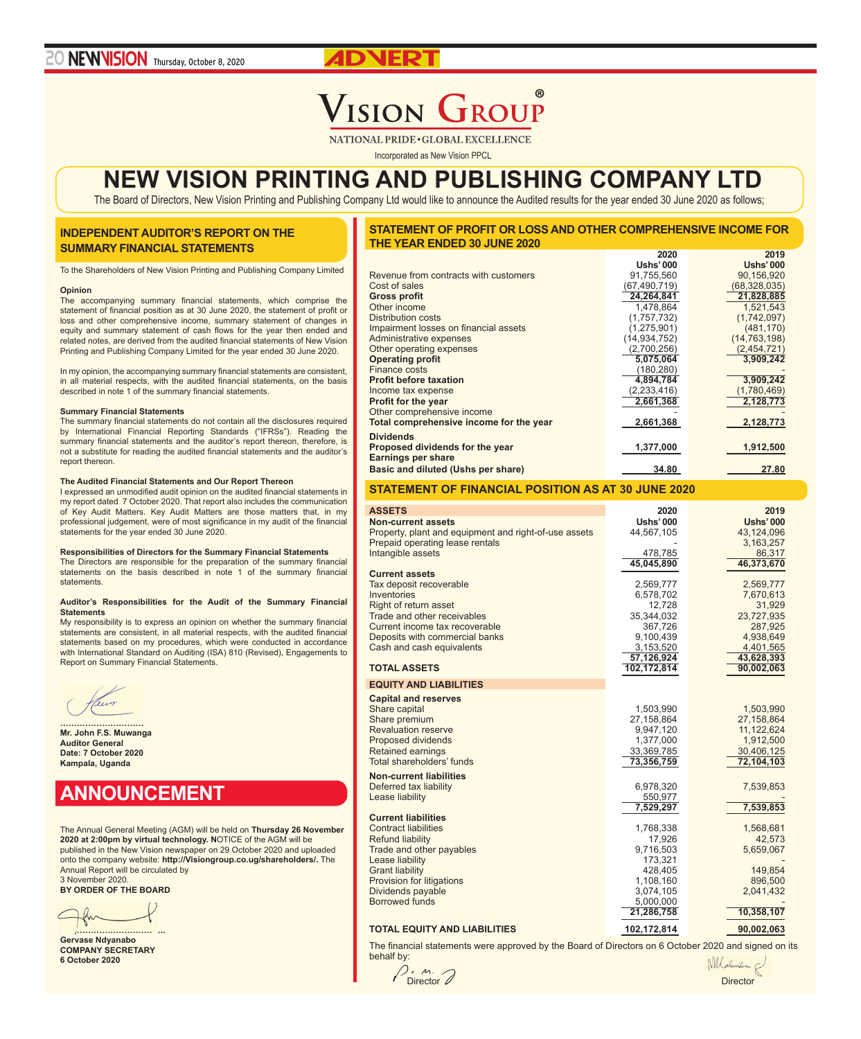## $^{\circ}$ ISION GROUP

NATIONAL PRIDE . GLOBAL EXCELLENCE

Incorporated as New Vision PPCL

# **NEW VISION PRINTING AND PUBLISHING COMPANY LTD**

The Board of Directors, New Vision Printing and Publishing Company Ltd would like to announce the Audited results for the year ended 30 June 2020 as follows;

## **INDEPENDENT AUDITOR'S REPORT ON THE SUMMARY FINANCIAL STATEMENTS**

To the Shareholders of New Vision Printing and Publishing Company Limited

### **Opinion**

The accompanying summary financial statements, which comprise the statement of financial position as at 30 June 2020, the statement of profit or loss and other comprehensive income, summary statement of changes in equity and summary statement of cash flows for the year then ended and related notes, are derived from the audited financial statements of New Vision Printing and Publishing Company Limited for the year ended 30 June 2020.

In my opinion, the accompanying summary financial statements are consistent, in all material respects, with the audited financial statements, on the basis described in note 1 of the summary financial statements.

### **Summary Financial Statements**

The summary financial statements do not contain all the disclosures required by International Financial Reporting Standards ("IFRSs"). Reading the summary financial statements and the auditor's report thereon, therefore, is not a substitute for reading the audited financial statements and the auditor's report thereon.

### **The Audited Financial Statements and Our Report Thereon**

I expressed an unmodified audit opinion on the audited financial statements in my report dated 7 October 2020. That report also includes the communication of Key Audit Matters. Key Audit Matters are those matters that, in my professional judgement, were of most significance in my audit of the financial statements for the year ended 30 June 2020.

## **Responsibilities of Directors for the Summary Financial Statements**

The Directors are responsible for the preparation of the summary financial statements on the basis described in note 1 of the summary financial statements.

#### **Auditor's Responsibilities for the Audit of the Summary Financial Statements**

My responsibility is to express an opinion on whether the summary financial statements are consistent, in all material respects, with the audited financial statements based on my procedures, which were conducted in accordance with International Standard on Auditing (ISA) 810 (Revised), Engagements to Report on Summary Financial Statements.

**………………………… Mr. John F.S. Muwanga Auditor General Date: 7 October 2020 Kampala, Uganda**

## **ANNOUNCEMENT**

The Annual General Meeting (AGM) will be held on **Thursday 26 November 2020 at 2:00pm by virtual technology. N**OTICE of the AGM will be published in the New Vision newspaper on 29 October 2020 and uploaded onto the company website: **http://Visiongroup.co.ug/shareholders/.** The Annual Report will be circulated by 3 November 2020.

**BY ORDER OF THE BOARD**

**………………………………..**

**Gervase Ndyanabo COMPANY SECRETARY 6 October 2020**

| STATEMENT OF PROFIT OR LOSS AND OTHER COMPREHENSIVE INCOME FOR |      |      |
|----------------------------------------------------------------|------|------|
| THE YEAR ENDED 30 JUNE 2020                                    |      |      |
|                                                                | 2020 | 2019 |

|                                         | <b>Ushs' 000</b> | <b>Ushs' 000</b> |
|-----------------------------------------|------------------|------------------|
| Revenue from contracts with customers   | 91,755,560       | 90,156,920       |
| Cost of sales                           | (67, 490, 719)   | (68,328,035)     |
| <b>Gross profit</b>                     | 24,264,841       | 21,828,885       |
| Other income                            | 1,478,864        | 1,521,543        |
| Distribution costs                      | (1,757,732)      | (1,742,097)      |
| Impairment losses on financial assets   | (1,275,901)      | (481, 170)       |
| Administrative expenses                 | (14, 934, 752)   | (14, 763, 198)   |
| Other operating expenses                | (2,700,256)      | (2,454,721)      |
| <b>Operating profit</b>                 | 5,075,064        | 3,909,242        |
| Finance costs                           | (180, 280)       |                  |
| <b>Profit before taxation</b>           | 4,894,784        | 3,909,242        |
| Income tax expense                      | (2, 233, 416)    | (1,780,469)      |
| <b>Profit for the year</b>              | 2,661,368        | 2,128,773        |
| Other comprehensive income              |                  |                  |
| Total comprehensive income for the year | 2,661,368        | 2,128,773        |
| <b>Dividends</b>                        |                  |                  |
| Proposed dividends for the year         | 1,377,000        | 1,912,500        |
| <b>Earnings per share</b>               |                  |                  |
| Basic and diluted (Ushs per share)      | 34.80            | 27.80            |
|                                         |                  |                  |

## **STATEMENT OF FINANCIAL POSITION AS AT 30 JUNE 2020**

| <b>ASSETS</b>                                         | 2020             | 2019             |
|-------------------------------------------------------|------------------|------------------|
| <b>Non-current assets</b>                             | <b>Ushs' 000</b> | <b>Ushs' 000</b> |
| Property, plant and equipment and right-of-use assets | 44,567,105       | 43,124,096       |
| Prepaid operating lease rentals                       |                  | 3,163,257        |
| Intangible assets                                     | 478,785          | 86,317           |
|                                                       | 45,045,890       | 46,373,670       |
| <b>Current assets</b>                                 |                  |                  |
| Tax deposit recoverable                               | 2,569,777        | 2,569,777        |
| Inventories                                           | 6,578,702        | 7,670,613        |
| Right of return asset                                 | 12,728           | 31,929           |
| Trade and other receivables                           | 35,344,032       | 23,727,935       |
| Current income tax recoverable                        | 367,726          | 287,925          |
| Deposits with commercial banks                        | 9,100,439        | 4,938,649        |
| Cash and cash equivalents                             | 3,153,520        | 4,401,565        |
|                                                       | 57,126,924       | 43,628,393       |
| <b>TOTAL ASSETS</b>                                   | 102,172,814      | 90,002,063       |
|                                                       |                  |                  |
| <b>EQUITY AND LIABILITIES</b>                         |                  |                  |
| <b>Capital and reserves</b>                           |                  |                  |
| Share capital                                         | 1,503,990        | 1,503,990        |
| Share premium                                         | 27,158,864       | 27,158,864       |
| <b>Revaluation reserve</b>                            | 9,947,120        | 11,122,624       |
| Proposed dividends                                    | 1,377,000        | 1,912,500        |
| Retained earnings                                     | 33,369,785       | 30,406,125       |
| Total shareholders' funds                             | 73,356,759       | 72,104,103       |
| <b>Non-current liabilities</b>                        |                  |                  |
| Deferred tax liability                                | 6,978,320        | 7,539,853        |
| Lease liability                                       | 550,977          |                  |
|                                                       | 7,529,297        | 7,539,853        |
| <b>Current liabilities</b>                            |                  |                  |
| <b>Contract liabilities</b>                           | 1,768,338        | 1,568,681        |
| <b>Refund liability</b>                               | 17,926           | 42,573           |
| Trade and other payables                              | 9,716,503        | 5,659,067        |
| Lease liability                                       | 173,321          |                  |
| <b>Grant liability</b>                                | 428,405          | 149,854          |
| Provision for litigations                             | 1,108,160        | 896,500          |
| Dividends payable                                     | 3,074,105        | 2,041,432        |
| <b>Borrowed funds</b>                                 | 5,000,000        |                  |
|                                                       | 21,286,758       | 10,358,107       |
|                                                       |                  |                  |
| <b>TOTAL EQUITY AND LIABILITIES</b>                   | 102,172,814      | 90,002,063       |

The financial statements were approved by the Board of Directors on 6 October 2020 and signed on its behalf by:

 $M$ Director Director Contractor Contractor Contractor Contractor Contractor Contractor Contractor Contractor Contractor Contractor Contractor Contractor Contractor Contractor Contractor Contractor Contractor Contractor Contra

Mlaluneur &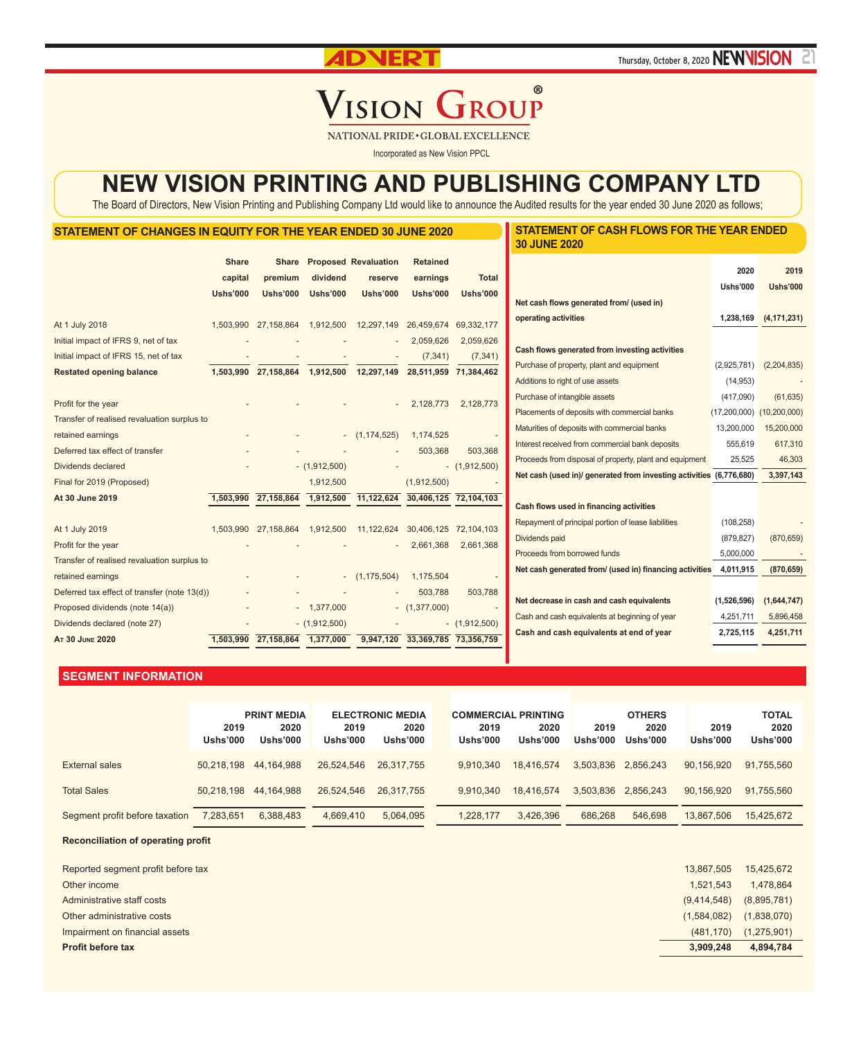**ADVERT** Thursday, October 8, 2020 **NEWVISION** 

**STATEMENT OF CASH FLOWS FOR THE YEAR ENDED** 

## $^{\circ}$ **VISION GROUP**

NATIONAL PRIDE . GLOBAL EXCELLENCE

Incorporated as New Vision PPCL

# **NEW VISION PRINTING AND PUBLISHING COMPANY LTD**

The Board of Directors, New Vision Printing and Publishing Company Ltd would like to announce the Audited results for the year ended 30 June 2020 as follows;

## **STATEMENT OF CHANGES IN EQUITY FOR THE YEAR ENDED 30 JUNE 2020**

|                                              |                         |                                |                 |                                        |                                        |                       | <b>30 JUNE 2020</b>                                                                          |                 |                 |
|----------------------------------------------|-------------------------|--------------------------------|-----------------|----------------------------------------|----------------------------------------|-----------------------|----------------------------------------------------------------------------------------------|-----------------|-----------------|
|                                              | <b>Share</b><br>capital | <b>Share</b><br>premium        | dividend        | <b>Proposed Revaluation</b><br>reserve | <b>Retained</b><br>earnings            | <b>Total</b>          |                                                                                              | 2020            | 2019            |
|                                              | <b>Ushs'000</b>         | <b>Ushs'000</b>                | <b>Ushs'000</b> | <b>Ushs'000</b>                        | <b>Ushs'000</b>                        | <b>Ushs'000</b>       |                                                                                              | <b>Ushs'000</b> | <b>Ushs'000</b> |
|                                              |                         |                                |                 |                                        |                                        |                       | Net cash flows generated from/ (used in)                                                     |                 |                 |
| At 1 July 2018                               | 1,503,990               | 27,158,864                     | 1,912,500       | 12,297,149                             | 26,459,674                             | 69,332,177            | operating activities                                                                         | 1,238,169       | (4, 171, 231)   |
| Initial impact of IFRS 9, net of tax         |                         |                                |                 |                                        | 2,059,626                              | 2,059,626             | Cash flows generated from investing activities                                               |                 |                 |
| Initial impact of IFRS 15, net of tax        |                         |                                |                 |                                        | (7, 341)                               | (7, 341)              |                                                                                              | (2,925,781)     |                 |
| <b>Restated opening balance</b>              |                         | 1,503,990 27,158,864 1,912,500 |                 | 12,297,149                             |                                        | 28,511,959 71,384,462 | Purchase of property, plant and equipment<br>Additions to right of use assets                | (14, 953)       | (2,204,835)     |
|                                              |                         |                                |                 |                                        |                                        |                       | Purchase of intangible assets                                                                | (417,090)       | (61, 635)       |
| Profit for the year                          |                         |                                |                 |                                        | 2,128,773                              | 2,128,773             |                                                                                              | (17,200,000)    | (10, 200, 000)  |
| Transfer of realised revaluation surplus to  |                         |                                |                 |                                        |                                        |                       | Placements of deposits with commercial banks<br>Maturities of deposits with commercial banks | 13,200,000      | 15,200,000      |
| retained earnings                            |                         |                                |                 | (1, 174, 525)                          | 1,174,525                              |                       | Interest received from commercial bank deposits                                              | 555,619         | 617,310         |
| Deferred tax effect of transfer              |                         |                                |                 |                                        | 503,368                                | 503,368               |                                                                                              | 25,525          | 46,303          |
| Dividends declared                           |                         |                                | $-$ (1,912,500) |                                        |                                        | $-$ (1,912,500)       | Proceeds from disposal of property, plant and equipment                                      |                 | 3,397,143       |
| Final for 2019 (Proposed)                    |                         |                                | 1,912,500       |                                        | (1,912,500)                            |                       | Net cash (used in)/ generated from investing activities (6,776,680)                          |                 |                 |
| At 30 June 2019                              |                         | 1,503,990 27,158,864           | 1,912,500       |                                        | 11, 122, 624 30, 406, 125 72, 104, 103 |                       | Cash flows used in financing activities                                                      |                 |                 |
|                                              |                         |                                |                 |                                        |                                        |                       | Repayment of principal portion of lease liabilities                                          | (108, 258)      |                 |
| At 1 July 2019                               |                         | 1,503,990 27,158,864           | 1,912,500       | 11,122,624                             |                                        | 30,406,125 72,104,103 | Dividends paid                                                                               | (879, 827)      | (870, 659)      |
| Profit for the year                          |                         |                                |                 |                                        | 2,661,368                              | 2,661,368             | Proceeds from borrowed funds                                                                 | 5,000,000       |                 |
| Transfer of realised revaluation surplus to  |                         |                                |                 |                                        |                                        |                       |                                                                                              |                 |                 |
| retained earnings                            |                         |                                |                 | (1, 175, 504)                          | 1,175,504                              |                       | Net cash generated from/ (used in) financing activities                                      | 4,011,915       | (870, 659)      |
| Deferred tax effect of transfer (note 13(d)) |                         |                                |                 |                                        | 503,788                                | 503,788               |                                                                                              |                 |                 |
| Proposed dividends (note 14(a))              |                         |                                | $-1,377,000$    |                                        | $-$ (1,377,000)                        |                       | Net decrease in cash and cash equivalents                                                    | (1,526,596)     | (1,644,747)     |
| Dividends declared (note 27)                 |                         |                                | $-$ (1,912,500) |                                        |                                        | $-$ (1,912,500)       | Cash and cash equivalents at beginning of year                                               | 4,251,711       | 5,896,458       |
| AT 30 JUNE 2020                              |                         | 1,503,990 27,158,864 1,377,000 |                 |                                        | 9,947,120 33,369,785 73,356,759        |                       | Cash and cash equivalents at end of year                                                     | 2,725,115       | 4,251,711       |

## **SEGMENT INFORMATION**

|                                | 2019<br><b>Ushs'000</b> | <b>PRINT MEDIA</b><br>2020<br><b>Ushs'000</b> | 2019<br><b>Ushs'000</b> | <b>ELECTRONIC MEDIA</b><br>2020<br><b>Ushs'000</b> | 2019<br><b>Ushs'000</b> | <b>COMMERCIAL PRINTING</b><br>2020<br><b>Ushs'000</b> | 2019<br>Ushs'000 | <b>OTHERS</b><br>2020<br>Ushs'000 | 2019<br><b>Ushs'000</b> | <b>TOTAL</b><br>2020<br><b>Ushs'000</b> |
|--------------------------------|-------------------------|-----------------------------------------------|-------------------------|----------------------------------------------------|-------------------------|-------------------------------------------------------|------------------|-----------------------------------|-------------------------|-----------------------------------------|
| External sales                 | 50.218.198              | 44.164.988                                    | 26.524.546              | 26.317.755                                         | 9.910.340               | 18.416.574                                            |                  | 3,503,836 2,856,243               | 90.156.920              | 91,755,560                              |
| <b>Total Sales</b>             | 50.218.198              | 44.164.988                                    | 26.524.546              | 26.317.755                                         | 9.910.340               | 18.416.574                                            |                  | 3.503.836 2.856.243               | 90,156,920              | 91,755,560                              |
| Segment profit before taxation | 7,283,651               | 6,388,483                                     | 4,669,410               | 5,064,095                                          | 1.228.177               | 3.426.396                                             | 686,268          | 546,698                           | 13.867.506              | 15,425,672                              |

**Reconciliation of operating profit**

j

| Reported segment profit before tax | 13.867.505  | 15,425,672  |
|------------------------------------|-------------|-------------|
| Other income                       | 1.521.543   | 1,478,864   |
| Administrative staff costs         | (9,414,548) | (8,895,781) |
| Other administrative costs         | (1,584,082) | (1,838,070) |
| Impairment on financial assets     | (481, 170)  | (1,275,901) |
| <b>Profit before tax</b>           | 3,909,248   | 4,894,784   |